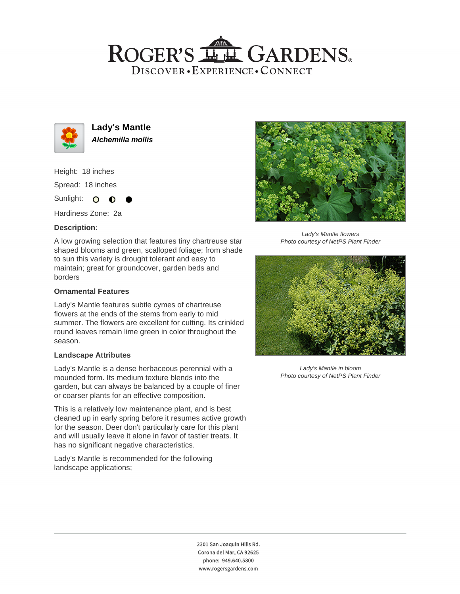## ROGER'S LL GARDENS. DISCOVER · EXPERIENCE · CONNECT



**Lady's Mantle Alchemilla mollis**

Height: 18 inches Spread: 18 inches Sunlight: O **O** 

Hardiness Zone: 2a

## **Description:**

A low growing selection that features tiny chartreuse star shaped blooms and green, scalloped foliage; from shade to sun this variety is drought tolerant and easy to maintain; great for groundcover, garden beds and borders

### **Ornamental Features**

Lady's Mantle features subtle cymes of chartreuse flowers at the ends of the stems from early to mid summer. The flowers are excellent for cutting. Its crinkled round leaves remain lime green in color throughout the season.

#### **Landscape Attributes**

Lady's Mantle is a dense herbaceous perennial with a mounded form. Its medium texture blends into the garden, but can always be balanced by a couple of finer or coarser plants for an effective composition.

This is a relatively low maintenance plant, and is best cleaned up in early spring before it resumes active growth for the season. Deer don't particularly care for this plant and will usually leave it alone in favor of tastier treats. It has no significant negative characteristics.

Lady's Mantle is recommended for the following landscape applications;



Lady's Mantle flowers Photo courtesy of NetPS Plant Finder



Lady's Mantle in bloom Photo courtesy of NetPS Plant Finder

2301 San Joaquin Hills Rd. Corona del Mar, CA 92625 phone: 949.640.5800 www.rogersgardens.com